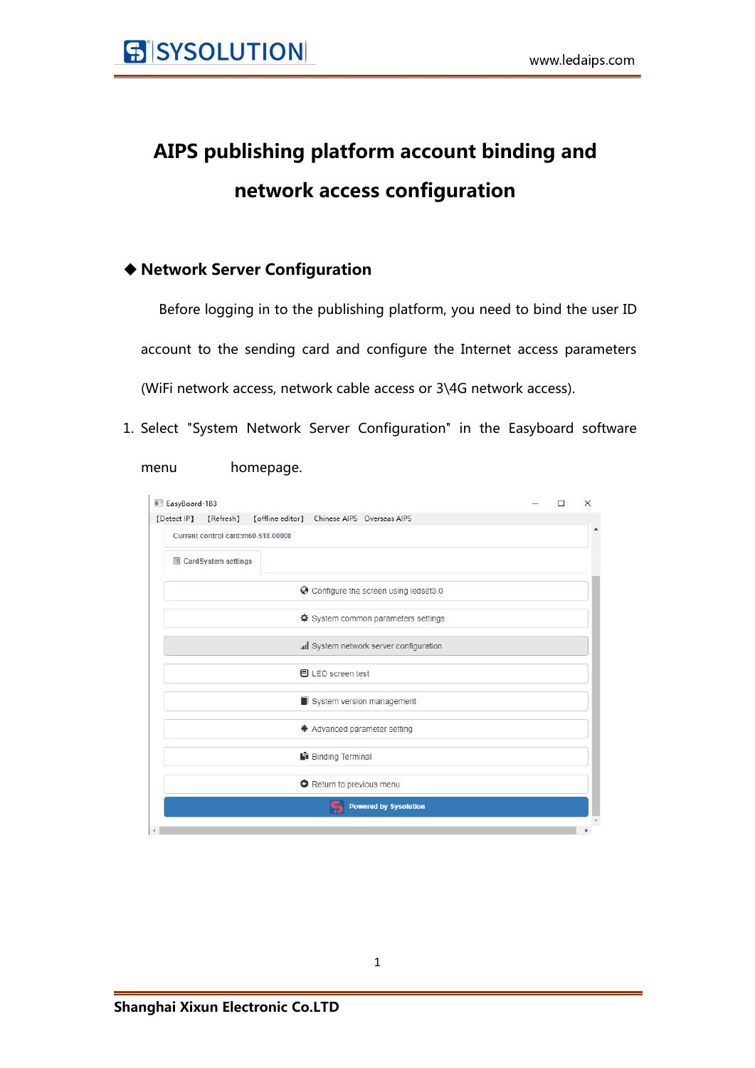# **AIPS publishing platform account binding and network access configuration**

### **Network Server Configuration**

Before logging in to the publishing platform, you need to bind the user ID account to the sending card and configure the Internet access parameters (WiFi network access, network cable access or 3\4G network access).

1. Select "System Network Server Configuration" in the Easyboard software

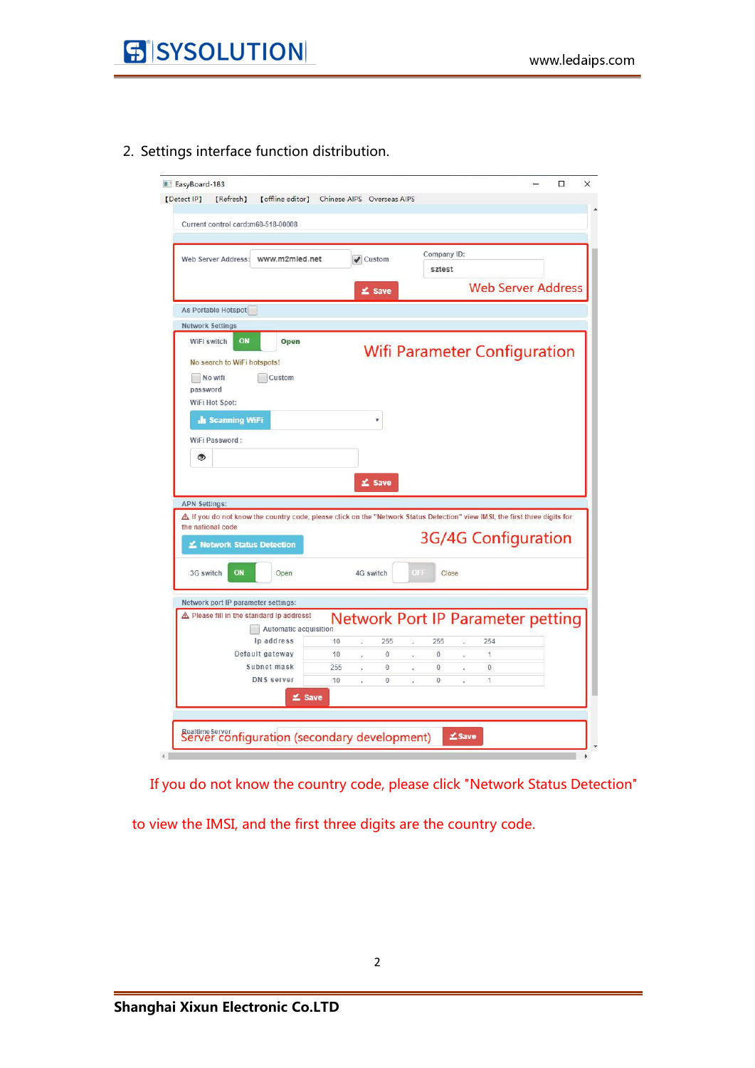2. Settings interface function distribution.

| Current control card:m60-518-00008<br>Company ID:<br>Web Server Address: www.m2mled.net<br>$\blacktriangleright$ Custom<br>sztest<br><b>Web Server Address</b><br>≰ Save<br>As Portable Hotspot<br><b>Network Settings</b><br>WiFi switch<br>ON<br>Open<br><b>Wifi Parameter Configuration</b><br>No search to WiFi hotspots!<br>No wifi<br>Custom<br>password<br>WiFi Hot Spot:<br><b>In Scanning WiFi</b><br>v<br>WiFi Password:<br>۱<br>≰ Save<br><b>APN Settings:</b><br>$\Delta$ If you do not know the country code, please click on the "Network Status Detection" view IMSI, the first three digits for<br>the national code<br><b>3G/4G Configuration</b> |  |
|--------------------------------------------------------------------------------------------------------------------------------------------------------------------------------------------------------------------------------------------------------------------------------------------------------------------------------------------------------------------------------------------------------------------------------------------------------------------------------------------------------------------------------------------------------------------------------------------------------------------------------------------------------------------|--|
|                                                                                                                                                                                                                                                                                                                                                                                                                                                                                                                                                                                                                                                                    |  |
|                                                                                                                                                                                                                                                                                                                                                                                                                                                                                                                                                                                                                                                                    |  |
|                                                                                                                                                                                                                                                                                                                                                                                                                                                                                                                                                                                                                                                                    |  |
|                                                                                                                                                                                                                                                                                                                                                                                                                                                                                                                                                                                                                                                                    |  |
|                                                                                                                                                                                                                                                                                                                                                                                                                                                                                                                                                                                                                                                                    |  |
|                                                                                                                                                                                                                                                                                                                                                                                                                                                                                                                                                                                                                                                                    |  |
|                                                                                                                                                                                                                                                                                                                                                                                                                                                                                                                                                                                                                                                                    |  |
|                                                                                                                                                                                                                                                                                                                                                                                                                                                                                                                                                                                                                                                                    |  |
|                                                                                                                                                                                                                                                                                                                                                                                                                                                                                                                                                                                                                                                                    |  |
|                                                                                                                                                                                                                                                                                                                                                                                                                                                                                                                                                                                                                                                                    |  |
|                                                                                                                                                                                                                                                                                                                                                                                                                                                                                                                                                                                                                                                                    |  |
|                                                                                                                                                                                                                                                                                                                                                                                                                                                                                                                                                                                                                                                                    |  |
|                                                                                                                                                                                                                                                                                                                                                                                                                                                                                                                                                                                                                                                                    |  |
|                                                                                                                                                                                                                                                                                                                                                                                                                                                                                                                                                                                                                                                                    |  |
|                                                                                                                                                                                                                                                                                                                                                                                                                                                                                                                                                                                                                                                                    |  |
| Ketwork Status Detection                                                                                                                                                                                                                                                                                                                                                                                                                                                                                                                                                                                                                                           |  |
| ON<br>3G switch<br>OFF<br>4G switch<br>Open<br>Close                                                                                                                                                                                                                                                                                                                                                                                                                                                                                                                                                                                                               |  |
| Network port IP parameter settings:                                                                                                                                                                                                                                                                                                                                                                                                                                                                                                                                                                                                                                |  |
| A Please fill in the standard Ip address!<br><b>Network Port IP Parameter petting</b><br>Automatic acquisition                                                                                                                                                                                                                                                                                                                                                                                                                                                                                                                                                     |  |
| Ip address<br>10<br>255<br>255<br>254<br>a<br>$\sim$<br>×                                                                                                                                                                                                                                                                                                                                                                                                                                                                                                                                                                                                          |  |
| Default gateway<br>10<br>0<br>0<br>1<br>÷,<br>¥.<br>×                                                                                                                                                                                                                                                                                                                                                                                                                                                                                                                                                                                                              |  |
| Subnet mask<br>255<br>$\overline{0}$<br>$\circ$<br>0<br>ï<br>k.                                                                                                                                                                                                                                                                                                                                                                                                                                                                                                                                                                                                    |  |
| <b>DNS</b> server<br>10<br>$\bf{0}$<br>1<br>$\theta$<br>à.<br>×<br>÷                                                                                                                                                                                                                                                                                                                                                                                                                                                                                                                                                                                               |  |
| $2$ Save                                                                                                                                                                                                                                                                                                                                                                                                                                                                                                                                                                                                                                                           |  |
|                                                                                                                                                                                                                                                                                                                                                                                                                                                                                                                                                                                                                                                                    |  |

If you do not know the country code, please click "Network Status Detection"

to view the IMSI, and the first three digits are the country code.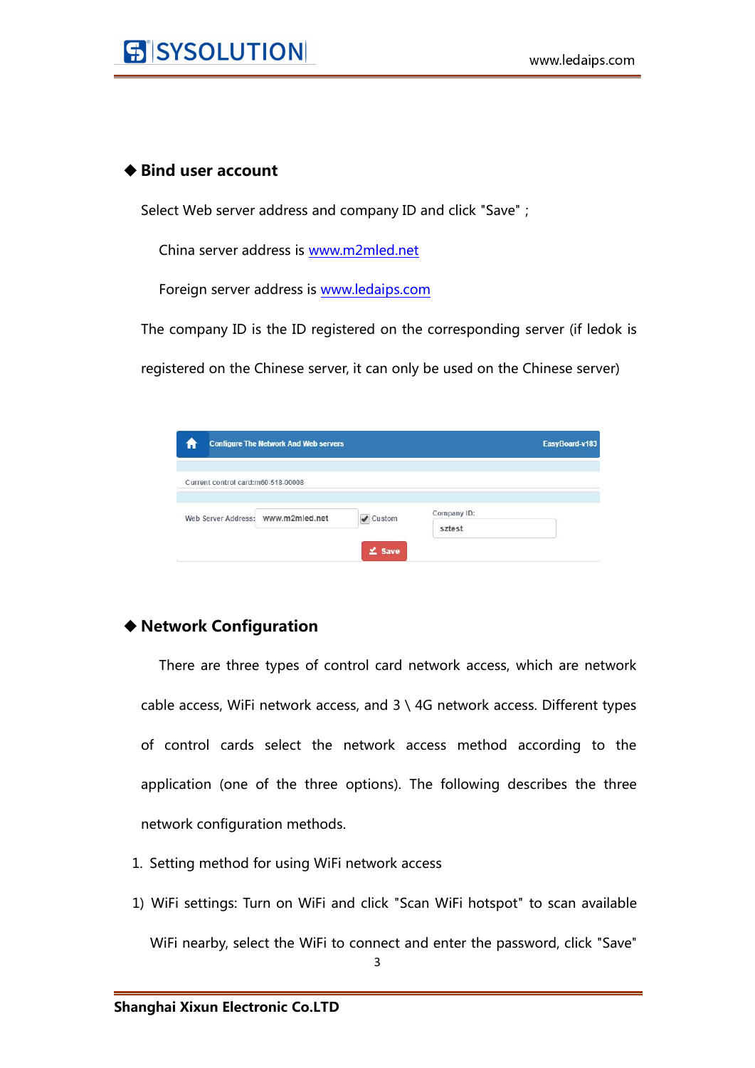#### ◆ Bind user account

Select Web server address and company ID and click "Save";

China server address is [www.m2mled.net](http://www.m2mled.net)

Foreign server address is [www.ledaips.com](http://www.ledaips.com:8888)

The company ID is the ID registered on the corresponding server (if ledok is

registered on the Chinese server, it can only be used on the Chinese server)

|                                    | <b>Configure The Network And Web servers</b> |             |             | EasyBoard-v183 |
|------------------------------------|----------------------------------------------|-------------|-------------|----------------|
| Current control card:m60-518-00008 |                                              |             |             |                |
| Web Server Address: WWW.m2mled.net |                                              | Custom      | Company ID: |                |
|                                    |                                              |             | sztest      |                |
|                                    |                                              | $\leq$ Save |             |                |

#### **Network Configuration**

There are three types of control card network access, which are network cable access, WiFi network access, and 3 \ 4G network access. Different types of control cards select the network access method according to the application (one of the three options). The following describes the three network configuration methods.

- 1. Setting method for using WiFi network access
- 1) WiFi settings: Turn on WiFi and click "Scan WiFi hotspot" to scan available WiFi nearby, select the WiFi to connect and enter the password, click "Save"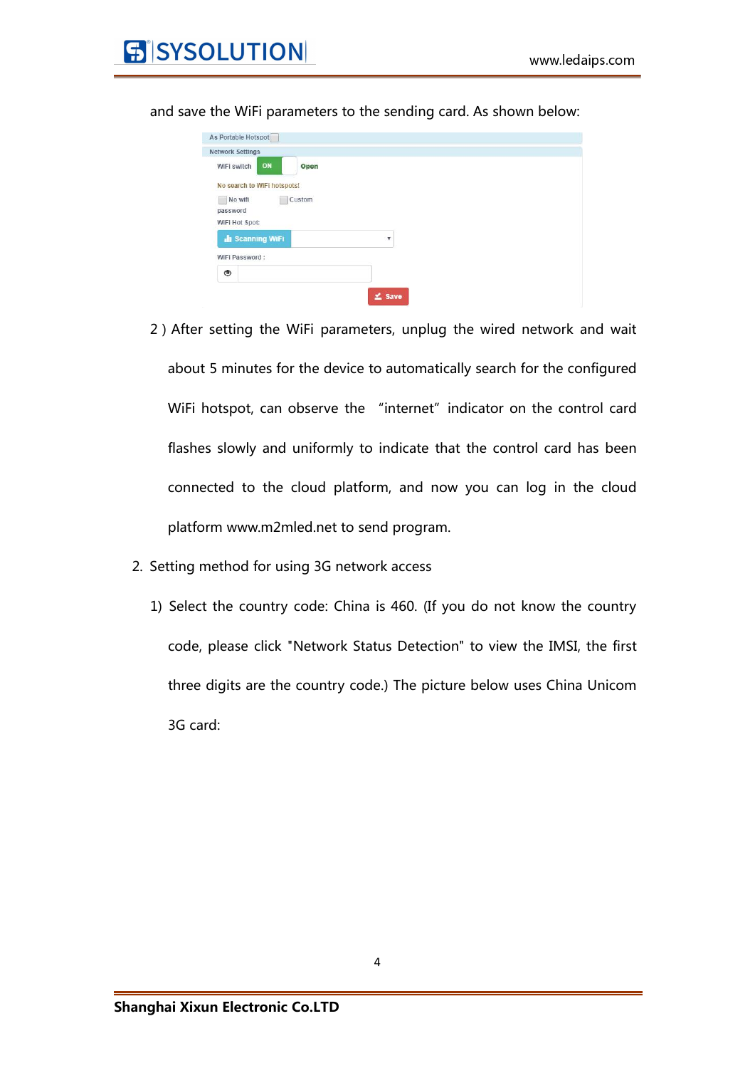

| ON<br>WiFi switch           | Open   |                         |  |
|-----------------------------|--------|-------------------------|--|
| No search to WiFi hotspots! |        |                         |  |
| No wifi                     | Custom |                         |  |
| password                    |        |                         |  |
| WiFi Hot Spot:              |        |                         |  |
| <b>July Scanning WiFi</b>   |        | $\overline{\mathbf{v}}$ |  |
|                             |        |                         |  |
| WiFi Password:              |        |                         |  |

and save the WiFi parameters to the sending card. As shown below:

- 2)After setting the WiFi parameters, unplug the wired network and wait about 5 minutes for the device to automatically search for the configured WiFi hotspot, can observe the "internet" indicator on the control card flashes slowly and uniformly to indicate that the control card has been connected to the cloud platform, and now you can log in the cloud platform www.m2mled.net to send program.
- 2. Setting method for using 3G network access
	- 1) Select the country code: China is 460. (If you do not know the country code, please click "Network Status Detection" to view the IMSI, the first three digits are the country code.) The picture below uses China Unicom 3G card: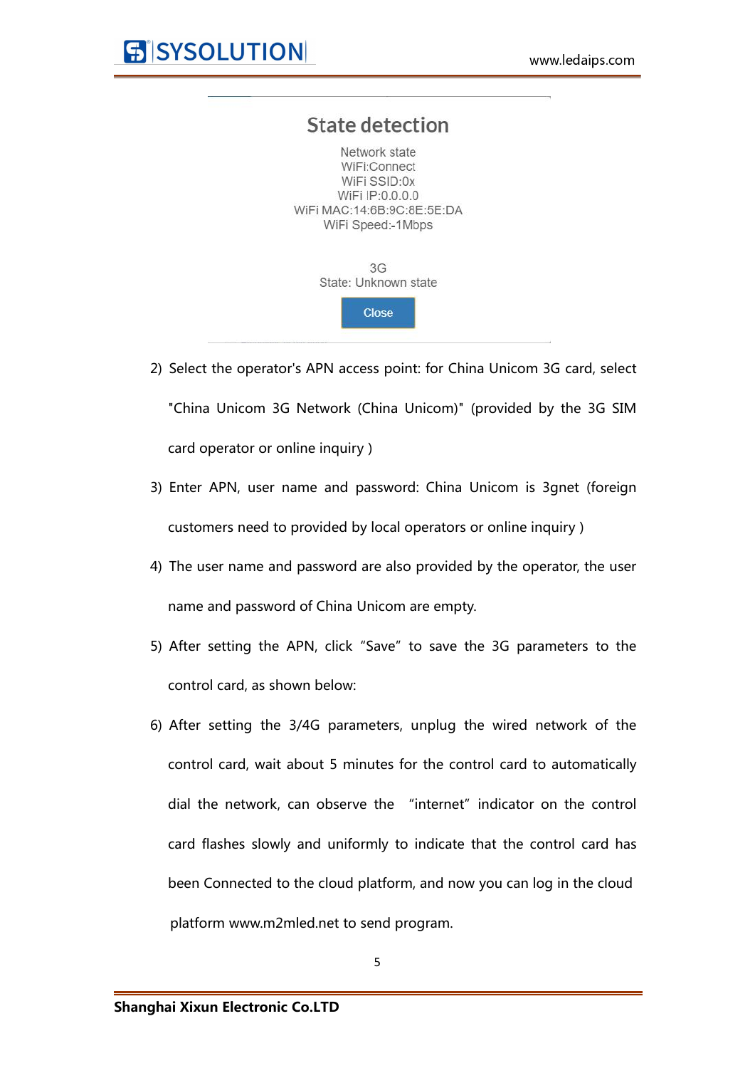

- 2) Select the operator's APN access point: for China Unicom 3G card, select "China Unicom 3G Network (China Unicom)" (provided by the 3G SIM card operator or online inquiry )
- 3) Enter APN, user name and password: China Unicom is 3gnet (foreign customers need to provided by local operators or online inquiry )
- 4) The user name and password are also provided by the operator, the user name and password of China Unicom are empty.
- 5) After setting the APN, click "Save" to save the 3G parameters to the control card, as shown below:
- 6) After setting the 3/4G parameters, unplug the wired network of the control card, wait about 5 minutes for the control card to automatically dial the network, can observe the "internet" indicator on the control card flashes slowly and uniformly to indicate that the control card has been Connected to the cloud platform, and now you can log in the cloud platform www.m2mled.net to send program.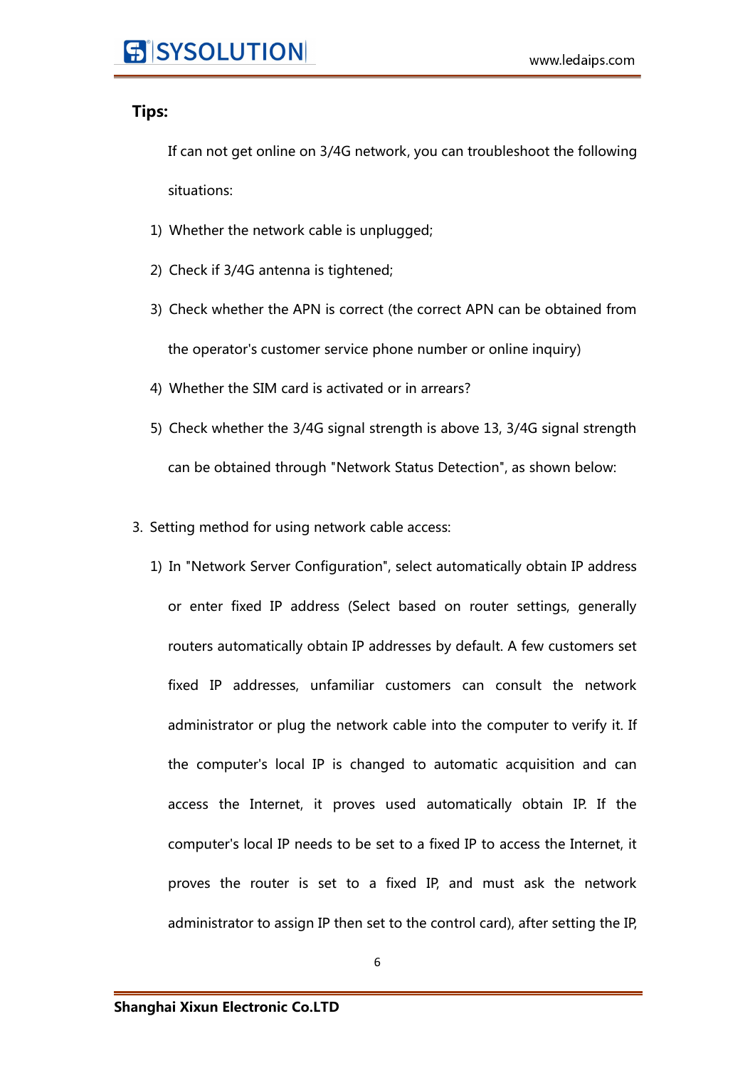#### **Tips:**

If can not get online on 3/4G network, you can troubleshoot the following situations:

- 1) Whether the network cable is unplugged;
- 2) Check if 3/4G antenna is tightened;
- 3) Check whether the APN is correct (the correct APN can be obtained from the operator's customer service phone number or online inquiry)
- 4) Whether the SIM card is activated or in arrears?
- 5) Check whether the 3/4G signal strength is above 13, 3/4G signal strength can be obtained through "Network Status Detection", as shown below:
- 3. Setting method for using network cable access:
	- 1) In "Network Server Configuration", select automatically obtain IP address or enter fixed IP address (Select based on router settings, generally routers automatically obtain IP addresses by default. A few customers set fixed IP addresses, unfamiliar customers can consult the network administrator or plug the network cable into the computer to verify it. If the computer's local IP is changed to automatic acquisition and can access the Internet, it proves used automatically obtain IP. If the computer's local IP needs to be set to a fixed IP to access the Internet, it proves the router is set to a fixed IP, and must ask the network administrator to assign IP then set to the control card), after setting the IP,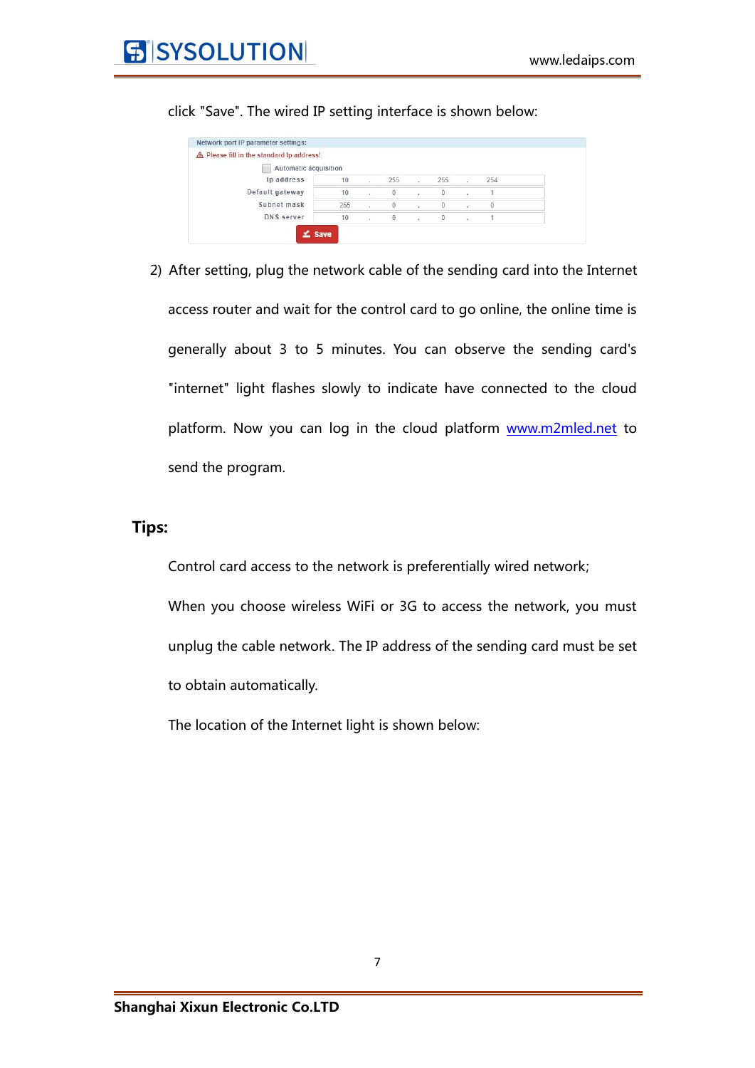| A Please fill in the standard Ip address! |     |                          |     |        |     |     |  |
|-------------------------------------------|-----|--------------------------|-----|--------|-----|-----|--|
| Automatic acquisition                     |     |                          |     |        |     |     |  |
| Ip address                                | 10  | $\mathcal{L}$            | 255 | $\sim$ | 255 | 254 |  |
| Default gateway                           | 10  | $\sim$                   | 0   | ×      | 0   |     |  |
| Subnet mask                               | 255 | ٠                        | 0   |        | 0   | 0   |  |
| DNS server                                | 10  | $\overline{\phantom{a}}$ | 0   |        |     |     |  |

click "Save". The wired IP setting interface is shown below:

2) After setting, plug the network cable of the sending card into the Internet access router and wait for the control card to go online, the online time is generally about 3 to 5 minutes. You can observe the sending card's "internet" light flashes slowly to [indicate](file:///C:/Users/Administrator/AppData/Local/youdao/dict/Application/8.5.3.0/resultui/html/index.html) have connected to the cloud platform. Now you can log in the cloud platform [www.m2mled.net](http://www.m2mled.net) to send the program.

#### **Tips:**

Control card access to the network is preferentially wired network;

When you choose wireless WiFi or 3G to access the network, you must unplug the cable network. The IP address of the sending card must be set to obtain automatically.

The location of the Internet light is shown below: